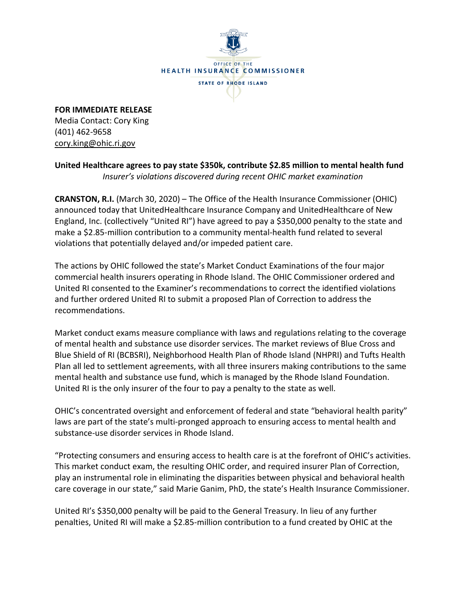

**FOR IMMEDIATE RELEASE** Media Contact: Cory King (401) 462-9658 cory.king@ohic.ri.gov

**United Healthcare agrees to pay state \$350k, contribute \$2.85 million to mental health fund**  *Insurer's violations discovered during recent OHIC market examination* 

**CRANSTON, R.I.** (March 30, 2020) – The Office of the Health Insurance Commissioner (OHIC) announced today that UnitedHealthcare Insurance Company and UnitedHealthcare of New England, Inc. (collectively "United RI") have agreed to pay a \$350,000 penalty to the state and make a \$2.85-million contribution to a community mental-health fund related to several violations that potentially delayed and/or impeded patient care.

The actions by OHIC followed the state's Market Conduct Examinations of the four major commercial health insurers operating in Rhode Island. The OHIC Commissioner ordered and United RI consented to the Examiner's recommendations to correct the identified violations and further ordered United RI to submit a proposed Plan of Correction to address the recommendations.

Market conduct exams measure compliance with laws and regulations relating to the coverage of mental health and substance use disorder services. The market reviews of Blue Cross and Blue Shield of RI (BCBSRI), Neighborhood Health Plan of Rhode Island (NHPRI) and Tufts Health Plan all led to settlement agreements, with all three insurers making contributions to the same mental health and substance use fund, which is managed by the Rhode Island Foundation. United RI is the only insurer of the four to pay a penalty to the state as well.

OHIC's concentrated oversight and enforcement of federal and state "behavioral health parity" laws are part of the state's multi-pronged approach to ensuring access to mental health and substance-use disorder services in Rhode Island.

"Protecting consumers and ensuring access to health care is at the forefront of OHIC's activities. This market conduct exam, the resulting OHIC order, and required insurer Plan of Correction, play an instrumental role in eliminating the disparities between physical and behavioral health care coverage in our state," said Marie Ganim, PhD, the state's Health Insurance Commissioner.

United RI's \$350,000 penalty will be paid to the General Treasury. In lieu of any further penalties, United RI will make a \$2.85-million contribution to a fund created by OHIC at the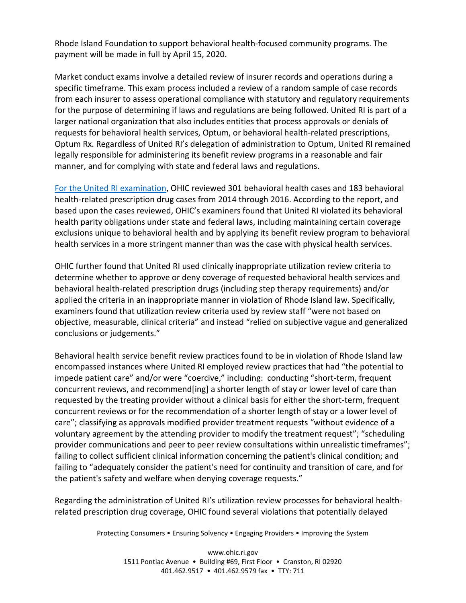Rhode Island Foundation to support behavioral health-focused community programs. The payment will be made in full by April 15, 2020.

Market conduct exams involve a detailed review of insurer records and operations during a specific timeframe. This exam process included a review of a random sample of case records from each insurer to assess operational compliance with statutory and regulatory requirements for the purpose of determining if laws and regulations are being followed. United RI is part of a larger national organization that also includes entities that process approvals or denials of requests for behavioral health services, Optum, or behavioral health-related prescriptions, Optum Rx. Regardless of United RI's delegation of administration to Optum, United RI remained legally responsible for administering its benefit review programs in a reasonable and fair manner, and for complying with state and federal laws and regulations.

[For the United RI examination,](http://www.ohic.ri.gov/documents/2020/March/COVID/United/UHC%20MCE_033020_WEBSITE.pdf) OHIC reviewed 301 behavioral health cases and 183 behavioral health-related prescription drug cases from 2014 through 2016. According to the report, and based upon the cases reviewed, OHIC's examiners found that United RI violated its behavioral health parity obligations under state and federal laws, including maintaining certain coverage exclusions unique to behavioral health and by applying its benefit review program to behavioral health services in a more stringent manner than was the case with physical health services.

OHIC further found that United RI used clinically inappropriate utilization review criteria to determine whether to approve or deny coverage of requested behavioral health services and behavioral health-related prescription drugs (including step therapy requirements) and/or applied the criteria in an inappropriate manner in violation of Rhode Island law. Specifically, examiners found that utilization review criteria used by review staff "were not based on objective, measurable, clinical criteria" and instead "relied on subjective vague and generalized conclusions or judgements."

Behavioral health service benefit review practices found to be in violation of Rhode Island law encompassed instances where United RI employed review practices that had "the potential to impede patient care" and/or were "coercive," including: conducting "short-term, frequent concurrent reviews, and recommend[ing] a shorter length of stay or lower level of care than requested by the treating provider without a clinical basis for either the short-term, frequent concurrent reviews or for the recommendation of a shorter length of stay or a lower level of care"; classifying as approvals modified provider treatment requests "without evidence of a voluntary agreement by the attending provider to modify the treatment request"; "scheduling provider communications and peer to peer review consultations within unrealistic timeframes"; failing to collect sufficient clinical information concerning the patient's clinical condition; and failing to "adequately consider the patient's need for continuity and transition of care, and for the patient's safety and welfare when denying coverage requests."

Regarding the administration of United RI's utilization review processes for behavioral healthrelated prescription drug coverage, OHIC found several violations that potentially delayed

Protecting Consumers • Ensuring Solvency • Engaging Providers • Improving the System

www.ohic.ri.gov 1511 Pontiac Avenue • Building #69, First Floor • Cranston, RI 02920 401.462.9517 • 401.462.9579 fax • TTY: 711